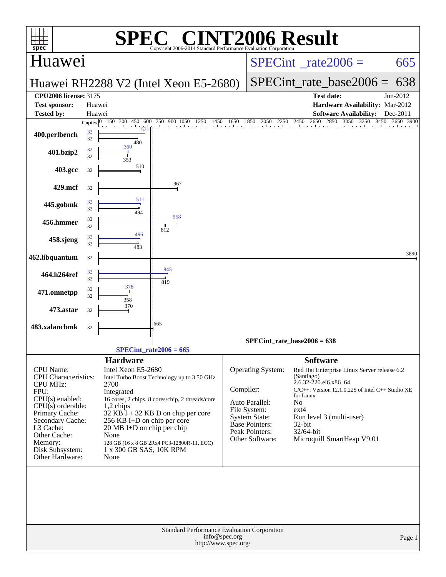| <b>INT2006 Result</b><br>$\bigcap$<br>SPE<br>$spec^*$<br>Copyright 2006-2014 Standard Performance Evaluation Corporation                                                                                                     |          |                                                                                                                                                                                            |                                                                                                                                                                                              |                                       |                                                                                                                                           |                                                                                                              |                                                                                                                                                                |                               |  |  |  |
|------------------------------------------------------------------------------------------------------------------------------------------------------------------------------------------------------------------------------|----------|--------------------------------------------------------------------------------------------------------------------------------------------------------------------------------------------|----------------------------------------------------------------------------------------------------------------------------------------------------------------------------------------------|---------------------------------------|-------------------------------------------------------------------------------------------------------------------------------------------|--------------------------------------------------------------------------------------------------------------|----------------------------------------------------------------------------------------------------------------------------------------------------------------|-------------------------------|--|--|--|
| Huawei                                                                                                                                                                                                                       |          |                                                                                                                                                                                            |                                                                                                                                                                                              |                                       |                                                                                                                                           | $SPECint^{\circ}$ rate $2006 =$                                                                              | 665                                                                                                                                                            |                               |  |  |  |
|                                                                                                                                                                                                                              |          |                                                                                                                                                                                            | Huawei RH2288 V2 (Intel Xeon E5-2680)                                                                                                                                                        |                                       |                                                                                                                                           |                                                                                                              | $SPECint_rate base2006 =$                                                                                                                                      | 638                           |  |  |  |
| <b>CPU2006 license: 3175</b>                                                                                                                                                                                                 |          |                                                                                                                                                                                            |                                                                                                                                                                                              |                                       |                                                                                                                                           |                                                                                                              | <b>Test date:</b>                                                                                                                                              | Jun-2012                      |  |  |  |
| <b>Test sponsor:</b>                                                                                                                                                                                                         | Huawei   |                                                                                                                                                                                            |                                                                                                                                                                                              |                                       |                                                                                                                                           |                                                                                                              | Hardware Availability: Mar-2012                                                                                                                                |                               |  |  |  |
| <b>Tested by:</b>                                                                                                                                                                                                            | Huawei   | Copies $ 0 150 300$<br>450 600                                                                                                                                                             | 750 900 1050                                                                                                                                                                                 |                                       |                                                                                                                                           |                                                                                                              | <b>Software Availability:</b><br>2850 3050 3250                                                                                                                | Dec-2011<br>3450<br>3650 3900 |  |  |  |
| 400.perlbench                                                                                                                                                                                                                | 32<br>32 | 571<br>480                                                                                                                                                                                 | 750 900 1050 1250 1450 1650 1850 2050 2250 2450 2650 2850 3050 3250                                                                                                                          |                                       |                                                                                                                                           |                                                                                                              |                                                                                                                                                                |                               |  |  |  |
| 401.bzip2                                                                                                                                                                                                                    | 32<br>32 | 360<br>353                                                                                                                                                                                 |                                                                                                                                                                                              |                                       |                                                                                                                                           |                                                                                                              |                                                                                                                                                                |                               |  |  |  |
| 403.gcc                                                                                                                                                                                                                      | 32       | 510                                                                                                                                                                                        |                                                                                                                                                                                              |                                       |                                                                                                                                           |                                                                                                              |                                                                                                                                                                |                               |  |  |  |
| 429.mcf                                                                                                                                                                                                                      | 32       |                                                                                                                                                                                            | 967                                                                                                                                                                                          |                                       |                                                                                                                                           |                                                                                                              |                                                                                                                                                                |                               |  |  |  |
| 445.gobmk                                                                                                                                                                                                                    | 32<br>32 | 511<br>494                                                                                                                                                                                 | 958                                                                                                                                                                                          |                                       |                                                                                                                                           |                                                                                                              |                                                                                                                                                                |                               |  |  |  |
| 456.hmmer                                                                                                                                                                                                                    | 32<br>32 | 496                                                                                                                                                                                        | 812                                                                                                                                                                                          |                                       |                                                                                                                                           |                                                                                                              |                                                                                                                                                                |                               |  |  |  |
| 458.sjeng                                                                                                                                                                                                                    | 32<br>32 | 483                                                                                                                                                                                        |                                                                                                                                                                                              |                                       |                                                                                                                                           |                                                                                                              |                                                                                                                                                                | 3890                          |  |  |  |
| 462.libquantum                                                                                                                                                                                                               | 32       |                                                                                                                                                                                            |                                                                                                                                                                                              |                                       |                                                                                                                                           |                                                                                                              |                                                                                                                                                                |                               |  |  |  |
| 464.h264ref                                                                                                                                                                                                                  | 32<br>32 |                                                                                                                                                                                            | 845<br>819                                                                                                                                                                                   |                                       |                                                                                                                                           |                                                                                                              |                                                                                                                                                                |                               |  |  |  |
| 471.omnetpp                                                                                                                                                                                                                  | 32<br>32 | 378<br>358                                                                                                                                                                                 |                                                                                                                                                                                              |                                       |                                                                                                                                           |                                                                                                              |                                                                                                                                                                |                               |  |  |  |
| 473.astar                                                                                                                                                                                                                    | 32       | 370                                                                                                                                                                                        |                                                                                                                                                                                              |                                       |                                                                                                                                           |                                                                                                              |                                                                                                                                                                |                               |  |  |  |
| 483.xalancbmk                                                                                                                                                                                                                | 32       |                                                                                                                                                                                            | .665                                                                                                                                                                                         |                                       | SPECint rate base2006 = $638$                                                                                                             |                                                                                                              |                                                                                                                                                                |                               |  |  |  |
|                                                                                                                                                                                                                              |          |                                                                                                                                                                                            | $SPECint_rate2006 = 665$                                                                                                                                                                     |                                       |                                                                                                                                           |                                                                                                              |                                                                                                                                                                |                               |  |  |  |
| CPU Name:<br>CPU Characteristics:<br><b>CPU MHz:</b><br>FPU:<br>$CPU(s)$ enabled:<br>$CPU(s)$ orderable:<br>Primary Cache:<br>Secondary Cache:<br>L3 Cache:<br>Other Cache:<br>Memory:<br>Disk Subsystem:<br>Other Hardware: |          | <b>Hardware</b><br>Intel Xeon E5-2680<br>2700<br>Integrated<br>1,2 chips<br>256 KB I+D on chip per core<br>$20 \text{ MB I+D}$ on chip per chip<br>None<br>1 x 300 GB SAS, 10K RPM<br>None | Intel Turbo Boost Technology up to 3.50 GHz<br>16 cores, 2 chips, 8 cores/chip, 2 threads/core<br>$32$ KB $\bar{I}$ + 32 KB D on chip per core<br>128 GB (16 x 8 GB 2Rx4 PC3-12800R-11, ECC) | Compiler:                             | Operating System:<br>Auto Parallel:<br>File System:<br><b>System State:</b><br><b>Base Pointers:</b><br>Peak Pointers:<br>Other Software: | <b>Software</b><br>(Santiago)<br>2.6.32-220.el6.x86_64<br>for Linux<br>No<br>$ext{4}$<br>32-bit<br>32/64-bit | Red Hat Enterprise Linux Server release 6.2<br>$C/C++$ : Version 12.1.0.225 of Intel $C++$ Studio XE<br>Run level 3 (multi-user)<br>Microquill SmartHeap V9.01 |                               |  |  |  |
|                                                                                                                                                                                                                              |          |                                                                                                                                                                                            | Standard Performance Evaluation Corporation                                                                                                                                                  | info@spec.org<br>http://www.spec.org/ |                                                                                                                                           |                                                                                                              |                                                                                                                                                                | Page 1                        |  |  |  |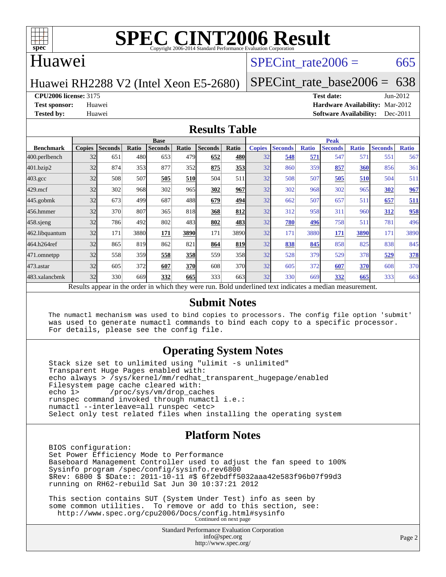

#### Huawei

#### SPECint rate $2006 = 665$

Huawei RH2288 V2 (Intel Xeon E5-2680)

[SPECint\\_rate\\_base2006 =](http://www.spec.org/auto/cpu2006/Docs/result-fields.html#SPECintratebase2006)  $638$ 

**[CPU2006 license:](http://www.spec.org/auto/cpu2006/Docs/result-fields.html#CPU2006license)** 3175 **[Test date:](http://www.spec.org/auto/cpu2006/Docs/result-fields.html#Testdate)** Jun-2012

**[Test sponsor:](http://www.spec.org/auto/cpu2006/Docs/result-fields.html#Testsponsor)** Huawei **[Hardware Availability:](http://www.spec.org/auto/cpu2006/Docs/result-fields.html#HardwareAvailability)** Mar-2012 **[Tested by:](http://www.spec.org/auto/cpu2006/Docs/result-fields.html#Testedby)** Huawei **[Software Availability:](http://www.spec.org/auto/cpu2006/Docs/result-fields.html#SoftwareAvailability)** Dec-2011

#### **[Results Table](http://www.spec.org/auto/cpu2006/Docs/result-fields.html#ResultsTable)**

|                                                                                                          | <b>Base</b>   |                |              |                |            |                |                  | <b>Peak</b>   |                |              |                |              |                |              |  |
|----------------------------------------------------------------------------------------------------------|---------------|----------------|--------------|----------------|------------|----------------|------------------|---------------|----------------|--------------|----------------|--------------|----------------|--------------|--|
| <b>Benchmark</b>                                                                                         | <b>Copies</b> | <b>Seconds</b> | <b>Ratio</b> | <b>Seconds</b> | Ratio      | <b>Seconds</b> | Ratio            | <b>Copies</b> | <b>Seconds</b> | <b>Ratio</b> | <b>Seconds</b> | <b>Ratio</b> | <b>Seconds</b> | <b>Ratio</b> |  |
| 400.perlbench                                                                                            | 32            | 651            | 480          | 653            | 479        | 652            | 480              | 32            | 548            | 571          | 547            | 571          | 551            | 567          |  |
| 401.bzip2                                                                                                | 32            | 874            | 353          | 877            | 352        | 875            | 353              | 32            | 860            | 359          | 857            | 360          | 856            | 361          |  |
| $403.\mathrm{gcc}$                                                                                       | 32            | 508            | 507          | 505            | 510        | 504            | 511              | 32            | 508            | 507          | 505            | 510          | 504            | 511          |  |
| $429$ .mcf                                                                                               | 32            | 302            | 968          | 302            | 965        | 302            | 967              | 32            | 302            | 968          | 302            | 965          | 302            | 967          |  |
| $445$ .gobmk                                                                                             | 32            | 673            | 499          | 687            | 488        | 679            | 494              | 32            | 662            | 507          | 657            | 511          | 657            | 511          |  |
| 456.hmmer                                                                                                | 32            | 370            | 807          | 365            | 818        | 368            | 812              | 32            | 312            | 958          | 311            | 960          | 312            | 958          |  |
| $458$ .sjeng                                                                                             | 32            | 786            | 492          | 802            | 483        | 802            | 483              | 32            | 780            | 496          | 758            | 511          | 781            | 496          |  |
| 462.libquantum                                                                                           | 32            | 171            | 3880         | 171            | 3890       | 171            | 3890             | 32            | 171            | 3880         | 171            | 3890         | 171            | 3890         |  |
| 464.h264ref                                                                                              | 32            | 865            | 819          | 862            | 821        | 864            | 819              | 32            | 838            | 845          | 858            | 825          | 838            | 845          |  |
| 471.omnetpp                                                                                              | 32            | 558            | 359          | 558            | 358        | 559            | 358              | 32            | 528            | 379          | 529            | 378          | 529            | 378          |  |
| $473$ . astar                                                                                            | 32            | 605            | 372          | 607            | <b>370</b> | 608            | 370l             | 32            | 605            | 372          | 607            | 370          | 608            | 370          |  |
| 483.xalancbmk                                                                                            | 32            | 330            | 669          | 332            | 665        | 333            | 663 <sup>I</sup> | 32            | 330            | 669          | 332            | 665          | 333            | 663          |  |
| Results appear in the order in which they were run. Bold underlined text indicates a median measurement. |               |                |              |                |            |                |                  |               |                |              |                |              |                |              |  |

#### **[Submit Notes](http://www.spec.org/auto/cpu2006/Docs/result-fields.html#SubmitNotes)**

 The numactl mechanism was used to bind copies to processors. The config file option 'submit' was used to generate numactl commands to bind each copy to a specific processor. For details, please see the config file.

#### **[Operating System Notes](http://www.spec.org/auto/cpu2006/Docs/result-fields.html#OperatingSystemNotes)**

 Stack size set to unlimited using "ulimit -s unlimited" Transparent Huge Pages enabled with: echo always > /sys/kernel/mm/redhat\_transparent\_hugepage/enabled Filesystem page cache cleared with:<br>echo 1> /proc/sys/vm/drop cac /proc/sys/vm/drop\_caches runspec command invoked through numactl i.e.: numactl --interleave=all runspec <etc> Select only test related files when installing the operating system

#### **[Platform Notes](http://www.spec.org/auto/cpu2006/Docs/result-fields.html#PlatformNotes)**

 BIOS configuration: Set Power Efficiency Mode to Performance Baseboard Management Controller used to adjust the fan speed to 100% Sysinfo program /spec/config/sysinfo.rev6800 \$Rev: 6800 \$ \$Date:: 2011-10-11 #\$ 6f2ebdff5032aaa42e583f96b07f99d3 running on RH62-rebuild Sat Jun 30 10:37:21 2012

 This section contains SUT (System Under Test) info as seen by some common utilities. To remove or add to this section, see: <http://www.spec.org/cpu2006/Docs/config.html#sysinfo> Continued on next page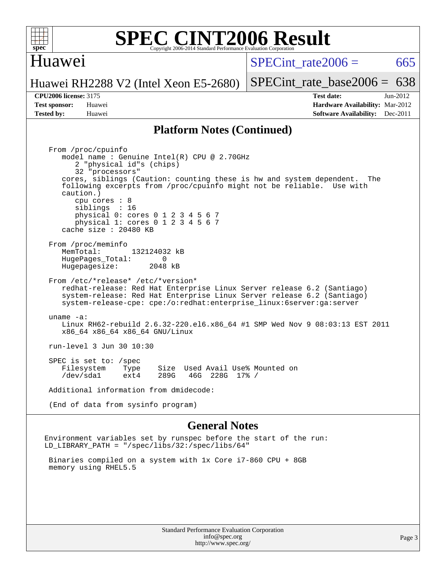

#### Huawei

SPECint rate $2006 = 665$ 

Huawei RH2288 V2 (Intel Xeon E5-2680)

**[Tested by:](http://www.spec.org/auto/cpu2006/Docs/result-fields.html#Testedby)** Huawei **[Software Availability:](http://www.spec.org/auto/cpu2006/Docs/result-fields.html#SoftwareAvailability)** Dec-2011

[SPECint\\_rate\\_base2006 =](http://www.spec.org/auto/cpu2006/Docs/result-fields.html#SPECintratebase2006)  $638$ **[CPU2006 license:](http://www.spec.org/auto/cpu2006/Docs/result-fields.html#CPU2006license)** 3175 **[Test date:](http://www.spec.org/auto/cpu2006/Docs/result-fields.html#Testdate)** Jun-2012 **[Test sponsor:](http://www.spec.org/auto/cpu2006/Docs/result-fields.html#Testsponsor)** Huawei **[Hardware Availability:](http://www.spec.org/auto/cpu2006/Docs/result-fields.html#HardwareAvailability)** Mar-2012

#### **[Platform Notes \(Continued\)](http://www.spec.org/auto/cpu2006/Docs/result-fields.html#PlatformNotes)**

 From /proc/cpuinfo model name : Genuine Intel(R) CPU @ 2.70GHz 2 "physical id"s (chips) 32 "processors" cores, siblings (Caution: counting these is hw and system dependent. The following excerpts from /proc/cpuinfo might not be reliable. Use with caution.) cpu cores : 8 siblings : 16 physical 0: cores 0 1 2 3 4 5 6 7 physical 1: cores 0 1 2 3 4 5 6 7 cache size : 20480 KB From /proc/meminfo MemTotal: 132124032 kB<br>Hugebages Total: 0 HugePages\_Total: 0 Hugepagesize: 2048 kB From /etc/\*release\* /etc/\*version\* redhat-release: Red Hat Enterprise Linux Server release 6.2 (Santiago) system-release: Red Hat Enterprise Linux Server release 6.2 (Santiago) system-release-cpe: cpe:/o:redhat:enterprise\_linux:6server:ga:server uname -a: Linux RH62-rebuild 2.6.32-220.el6.x86\_64 #1 SMP Wed Nov 9 08:03:13 EST 2011 x86\_64 x86\_64 x86\_64 GNU/Linux run-level 3 Jun 30 10:30 SPEC is set to: /spec Filesystem Type Size Used Avail Use% Mounted on<br>
/dev/sdal ext4 289G 46G 228G 17% / /dev/sda1 ext4 289G 46G 228G 17% / Additional information from dmidecode: (End of data from sysinfo program)

#### **[General Notes](http://www.spec.org/auto/cpu2006/Docs/result-fields.html#GeneralNotes)**

Environment variables set by runspec before the start of the run: LD\_LIBRARY\_PATH = "/spec/libs/32:/spec/libs/64"

 Binaries compiled on a system with 1x Core i7-860 CPU + 8GB memory using RHEL5.5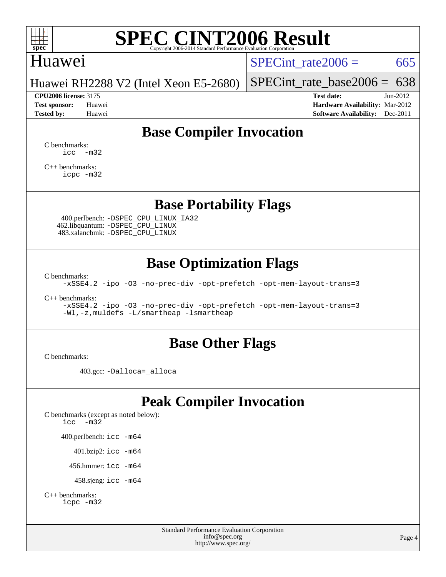

#### Huawei

SPECint rate $2006 = 665$ 

Huawei RH2288 V2 (Intel Xeon E5-2680)

**[CPU2006 license:](http://www.spec.org/auto/cpu2006/Docs/result-fields.html#CPU2006license)** 3175 **[Test date:](http://www.spec.org/auto/cpu2006/Docs/result-fields.html#Testdate)** Jun-2012

[SPECint\\_rate\\_base2006 =](http://www.spec.org/auto/cpu2006/Docs/result-fields.html#SPECintratebase2006)  $638$ 

**[Test sponsor:](http://www.spec.org/auto/cpu2006/Docs/result-fields.html#Testsponsor)** Huawei **[Hardware Availability:](http://www.spec.org/auto/cpu2006/Docs/result-fields.html#HardwareAvailability)** Mar-2012 **[Tested by:](http://www.spec.org/auto/cpu2006/Docs/result-fields.html#Testedby)** Huawei **[Software Availability:](http://www.spec.org/auto/cpu2006/Docs/result-fields.html#SoftwareAvailability)** Dec-2011

### **[Base Compiler Invocation](http://www.spec.org/auto/cpu2006/Docs/result-fields.html#BaseCompilerInvocation)**

[C benchmarks](http://www.spec.org/auto/cpu2006/Docs/result-fields.html#Cbenchmarks):  $\text{icc}$   $-\text{m32}$ 

[C++ benchmarks:](http://www.spec.org/auto/cpu2006/Docs/result-fields.html#CXXbenchmarks) [icpc -m32](http://www.spec.org/cpu2006/results/res2012q3/cpu2006-20120702-23317.flags.html#user_CXXbase_intel_icpc_4e5a5ef1a53fd332b3c49e69c3330699)

**[Base Portability Flags](http://www.spec.org/auto/cpu2006/Docs/result-fields.html#BasePortabilityFlags)**

 400.perlbench: [-DSPEC\\_CPU\\_LINUX\\_IA32](http://www.spec.org/cpu2006/results/res2012q3/cpu2006-20120702-23317.flags.html#b400.perlbench_baseCPORTABILITY_DSPEC_CPU_LINUX_IA32) 462.libquantum: [-DSPEC\\_CPU\\_LINUX](http://www.spec.org/cpu2006/results/res2012q3/cpu2006-20120702-23317.flags.html#b462.libquantum_baseCPORTABILITY_DSPEC_CPU_LINUX) 483.xalancbmk: [-DSPEC\\_CPU\\_LINUX](http://www.spec.org/cpu2006/results/res2012q3/cpu2006-20120702-23317.flags.html#b483.xalancbmk_baseCXXPORTABILITY_DSPEC_CPU_LINUX)

### **[Base Optimization Flags](http://www.spec.org/auto/cpu2006/Docs/result-fields.html#BaseOptimizationFlags)**

[C benchmarks](http://www.spec.org/auto/cpu2006/Docs/result-fields.html#Cbenchmarks):

[-xSSE4.2](http://www.spec.org/cpu2006/results/res2012q3/cpu2006-20120702-23317.flags.html#user_CCbase_f-xSSE42_f91528193cf0b216347adb8b939d4107) [-ipo](http://www.spec.org/cpu2006/results/res2012q3/cpu2006-20120702-23317.flags.html#user_CCbase_f-ipo) [-O3](http://www.spec.org/cpu2006/results/res2012q3/cpu2006-20120702-23317.flags.html#user_CCbase_f-O3) [-no-prec-div](http://www.spec.org/cpu2006/results/res2012q3/cpu2006-20120702-23317.flags.html#user_CCbase_f-no-prec-div) [-opt-prefetch](http://www.spec.org/cpu2006/results/res2012q3/cpu2006-20120702-23317.flags.html#user_CCbase_f-opt-prefetch) [-opt-mem-layout-trans=3](http://www.spec.org/cpu2006/results/res2012q3/cpu2006-20120702-23317.flags.html#user_CCbase_f-opt-mem-layout-trans_a7b82ad4bd7abf52556d4961a2ae94d5)

[C++ benchmarks:](http://www.spec.org/auto/cpu2006/Docs/result-fields.html#CXXbenchmarks)

[-xSSE4.2](http://www.spec.org/cpu2006/results/res2012q3/cpu2006-20120702-23317.flags.html#user_CXXbase_f-xSSE42_f91528193cf0b216347adb8b939d4107) [-ipo](http://www.spec.org/cpu2006/results/res2012q3/cpu2006-20120702-23317.flags.html#user_CXXbase_f-ipo) [-O3](http://www.spec.org/cpu2006/results/res2012q3/cpu2006-20120702-23317.flags.html#user_CXXbase_f-O3) [-no-prec-div](http://www.spec.org/cpu2006/results/res2012q3/cpu2006-20120702-23317.flags.html#user_CXXbase_f-no-prec-div) [-opt-prefetch](http://www.spec.org/cpu2006/results/res2012q3/cpu2006-20120702-23317.flags.html#user_CXXbase_f-opt-prefetch) [-opt-mem-layout-trans=3](http://www.spec.org/cpu2006/results/res2012q3/cpu2006-20120702-23317.flags.html#user_CXXbase_f-opt-mem-layout-trans_a7b82ad4bd7abf52556d4961a2ae94d5) [-Wl,-z,muldefs](http://www.spec.org/cpu2006/results/res2012q3/cpu2006-20120702-23317.flags.html#user_CXXbase_link_force_multiple1_74079c344b956b9658436fd1b6dd3a8a) [-L/smartheap -lsmartheap](http://www.spec.org/cpu2006/results/res2012q3/cpu2006-20120702-23317.flags.html#user_CXXbase_SmartHeap_7c9e394a5779e1a7fec7c221e123830c)

#### **[Base Other Flags](http://www.spec.org/auto/cpu2006/Docs/result-fields.html#BaseOtherFlags)**

[C benchmarks](http://www.spec.org/auto/cpu2006/Docs/result-fields.html#Cbenchmarks):

403.gcc: [-Dalloca=\\_alloca](http://www.spec.org/cpu2006/results/res2012q3/cpu2006-20120702-23317.flags.html#b403.gcc_baseEXTRA_CFLAGS_Dalloca_be3056838c12de2578596ca5467af7f3)

### **[Peak Compiler Invocation](http://www.spec.org/auto/cpu2006/Docs/result-fields.html#PeakCompilerInvocation)**

[C benchmarks \(except as noted below\)](http://www.spec.org/auto/cpu2006/Docs/result-fields.html#Cbenchmarksexceptasnotedbelow): [icc -m32](http://www.spec.org/cpu2006/results/res2012q3/cpu2006-20120702-23317.flags.html#user_CCpeak_intel_icc_5ff4a39e364c98233615fdd38438c6f2) 400.perlbench: [icc -m64](http://www.spec.org/cpu2006/results/res2012q3/cpu2006-20120702-23317.flags.html#user_peakCCLD400_perlbench_intel_icc_64bit_bda6cc9af1fdbb0edc3795bac97ada53) 401.bzip2: [icc -m64](http://www.spec.org/cpu2006/results/res2012q3/cpu2006-20120702-23317.flags.html#user_peakCCLD401_bzip2_intel_icc_64bit_bda6cc9af1fdbb0edc3795bac97ada53)

456.hmmer: [icc -m64](http://www.spec.org/cpu2006/results/res2012q3/cpu2006-20120702-23317.flags.html#user_peakCCLD456_hmmer_intel_icc_64bit_bda6cc9af1fdbb0edc3795bac97ada53)

458.sjeng: [icc -m64](http://www.spec.org/cpu2006/results/res2012q3/cpu2006-20120702-23317.flags.html#user_peakCCLD458_sjeng_intel_icc_64bit_bda6cc9af1fdbb0edc3795bac97ada53)

```
C++ benchmarks: 
    icpc -m32
```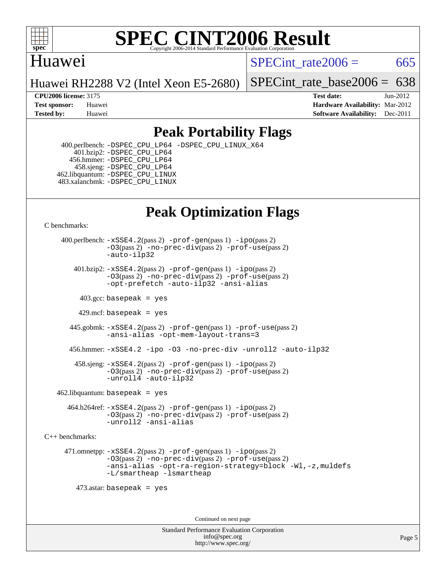

### Huawei

SPECint rate $2006 = 665$ 

Huawei RH2288 V2 (Intel Xeon E5-2680)

[SPECint\\_rate\\_base2006 =](http://www.spec.org/auto/cpu2006/Docs/result-fields.html#SPECintratebase2006)  $638$ 

**[CPU2006 license:](http://www.spec.org/auto/cpu2006/Docs/result-fields.html#CPU2006license)** 3175 **[Test date:](http://www.spec.org/auto/cpu2006/Docs/result-fields.html#Testdate)** Jun-2012 **[Test sponsor:](http://www.spec.org/auto/cpu2006/Docs/result-fields.html#Testsponsor)** Huawei **[Hardware Availability:](http://www.spec.org/auto/cpu2006/Docs/result-fields.html#HardwareAvailability)** Mar-2012 **[Tested by:](http://www.spec.org/auto/cpu2006/Docs/result-fields.html#Testedby)** Huawei **[Software Availability:](http://www.spec.org/auto/cpu2006/Docs/result-fields.html#SoftwareAvailability)** Dec-2011

### **[Peak Portability Flags](http://www.spec.org/auto/cpu2006/Docs/result-fields.html#PeakPortabilityFlags)**

 400.perlbench: [-DSPEC\\_CPU\\_LP64](http://www.spec.org/cpu2006/results/res2012q3/cpu2006-20120702-23317.flags.html#b400.perlbench_peakCPORTABILITY_DSPEC_CPU_LP64) [-DSPEC\\_CPU\\_LINUX\\_X64](http://www.spec.org/cpu2006/results/res2012q3/cpu2006-20120702-23317.flags.html#b400.perlbench_peakCPORTABILITY_DSPEC_CPU_LINUX_X64) 401.bzip2: [-DSPEC\\_CPU\\_LP64](http://www.spec.org/cpu2006/results/res2012q3/cpu2006-20120702-23317.flags.html#suite_peakCPORTABILITY401_bzip2_DSPEC_CPU_LP64) 456.hmmer: [-DSPEC\\_CPU\\_LP64](http://www.spec.org/cpu2006/results/res2012q3/cpu2006-20120702-23317.flags.html#suite_peakCPORTABILITY456_hmmer_DSPEC_CPU_LP64) 458.sjeng: [-DSPEC\\_CPU\\_LP64](http://www.spec.org/cpu2006/results/res2012q3/cpu2006-20120702-23317.flags.html#suite_peakCPORTABILITY458_sjeng_DSPEC_CPU_LP64) 462.libquantum: [-DSPEC\\_CPU\\_LINUX](http://www.spec.org/cpu2006/results/res2012q3/cpu2006-20120702-23317.flags.html#b462.libquantum_peakCPORTABILITY_DSPEC_CPU_LINUX) 483.xalancbmk: [-DSPEC\\_CPU\\_LINUX](http://www.spec.org/cpu2006/results/res2012q3/cpu2006-20120702-23317.flags.html#b483.xalancbmk_peakCXXPORTABILITY_DSPEC_CPU_LINUX)

## **[Peak Optimization Flags](http://www.spec.org/auto/cpu2006/Docs/result-fields.html#PeakOptimizationFlags)**

[C benchmarks](http://www.spec.org/auto/cpu2006/Docs/result-fields.html#Cbenchmarks):

 400.perlbench: [-xSSE4.2](http://www.spec.org/cpu2006/results/res2012q3/cpu2006-20120702-23317.flags.html#user_peakPASS2_CFLAGSPASS2_LDCFLAGS400_perlbench_f-xSSE42_f91528193cf0b216347adb8b939d4107)(pass 2) [-prof-gen](http://www.spec.org/cpu2006/results/res2012q3/cpu2006-20120702-23317.flags.html#user_peakPASS1_CFLAGSPASS1_LDCFLAGS400_perlbench_prof_gen_e43856698f6ca7b7e442dfd80e94a8fc)(pass 1) [-ipo](http://www.spec.org/cpu2006/results/res2012q3/cpu2006-20120702-23317.flags.html#user_peakPASS2_CFLAGSPASS2_LDCFLAGS400_perlbench_f-ipo)(pass 2) [-O3](http://www.spec.org/cpu2006/results/res2012q3/cpu2006-20120702-23317.flags.html#user_peakPASS2_CFLAGSPASS2_LDCFLAGS400_perlbench_f-O3)(pass 2) [-no-prec-div](http://www.spec.org/cpu2006/results/res2012q3/cpu2006-20120702-23317.flags.html#user_peakPASS2_CFLAGSPASS2_LDCFLAGS400_perlbench_f-no-prec-div)(pass 2) [-prof-use](http://www.spec.org/cpu2006/results/res2012q3/cpu2006-20120702-23317.flags.html#user_peakPASS2_CFLAGSPASS2_LDCFLAGS400_perlbench_prof_use_bccf7792157ff70d64e32fe3e1250b55)(pass 2) [-auto-ilp32](http://www.spec.org/cpu2006/results/res2012q3/cpu2006-20120702-23317.flags.html#user_peakCOPTIMIZE400_perlbench_f-auto-ilp32)  $401.bzip2: -xSSE4.2(pass 2) -prof-qen(pass 1) -ipo(pass 2)$  $401.bzip2: -xSSE4.2(pass 2) -prof-qen(pass 1) -ipo(pass 2)$  $401.bzip2: -xSSE4.2(pass 2) -prof-qen(pass 1) -ipo(pass 2)$  $401.bzip2: -xSSE4.2(pass 2) -prof-qen(pass 1) -ipo(pass 2)$  $401.bzip2: -xSSE4.2(pass 2) -prof-qen(pass 1) -ipo(pass 2)$ [-O3](http://www.spec.org/cpu2006/results/res2012q3/cpu2006-20120702-23317.flags.html#user_peakPASS2_CFLAGSPASS2_LDCFLAGS401_bzip2_f-O3)(pass 2) [-no-prec-div](http://www.spec.org/cpu2006/results/res2012q3/cpu2006-20120702-23317.flags.html#user_peakPASS2_CFLAGSPASS2_LDCFLAGS401_bzip2_f-no-prec-div)(pass 2) [-prof-use](http://www.spec.org/cpu2006/results/res2012q3/cpu2006-20120702-23317.flags.html#user_peakPASS2_CFLAGSPASS2_LDCFLAGS401_bzip2_prof_use_bccf7792157ff70d64e32fe3e1250b55)(pass 2) [-opt-prefetch](http://www.spec.org/cpu2006/results/res2012q3/cpu2006-20120702-23317.flags.html#user_peakCOPTIMIZE401_bzip2_f-opt-prefetch) [-auto-ilp32](http://www.spec.org/cpu2006/results/res2012q3/cpu2006-20120702-23317.flags.html#user_peakCOPTIMIZE401_bzip2_f-auto-ilp32) [-ansi-alias](http://www.spec.org/cpu2006/results/res2012q3/cpu2006-20120702-23317.flags.html#user_peakCOPTIMIZE401_bzip2_f-ansi-alias)  $403.\text{sec: basepeak}$  = yes 429.mcf: basepeak = yes 445.gobmk: [-xSSE4.2](http://www.spec.org/cpu2006/results/res2012q3/cpu2006-20120702-23317.flags.html#user_peakPASS2_CFLAGSPASS2_LDCFLAGS445_gobmk_f-xSSE42_f91528193cf0b216347adb8b939d4107)(pass 2) [-prof-gen](http://www.spec.org/cpu2006/results/res2012q3/cpu2006-20120702-23317.flags.html#user_peakPASS1_CFLAGSPASS1_LDCFLAGS445_gobmk_prof_gen_e43856698f6ca7b7e442dfd80e94a8fc)(pass 1) [-prof-use](http://www.spec.org/cpu2006/results/res2012q3/cpu2006-20120702-23317.flags.html#user_peakPASS2_CFLAGSPASS2_LDCFLAGS445_gobmk_prof_use_bccf7792157ff70d64e32fe3e1250b55)(pass 2) [-ansi-alias](http://www.spec.org/cpu2006/results/res2012q3/cpu2006-20120702-23317.flags.html#user_peakCOPTIMIZE445_gobmk_f-ansi-alias) [-opt-mem-layout-trans=3](http://www.spec.org/cpu2006/results/res2012q3/cpu2006-20120702-23317.flags.html#user_peakCOPTIMIZE445_gobmk_f-opt-mem-layout-trans_a7b82ad4bd7abf52556d4961a2ae94d5) 456.hmmer: [-xSSE4.2](http://www.spec.org/cpu2006/results/res2012q3/cpu2006-20120702-23317.flags.html#user_peakCOPTIMIZE456_hmmer_f-xSSE42_f91528193cf0b216347adb8b939d4107) [-ipo](http://www.spec.org/cpu2006/results/res2012q3/cpu2006-20120702-23317.flags.html#user_peakCOPTIMIZE456_hmmer_f-ipo) [-O3](http://www.spec.org/cpu2006/results/res2012q3/cpu2006-20120702-23317.flags.html#user_peakCOPTIMIZE456_hmmer_f-O3) [-no-prec-div](http://www.spec.org/cpu2006/results/res2012q3/cpu2006-20120702-23317.flags.html#user_peakCOPTIMIZE456_hmmer_f-no-prec-div) [-unroll2](http://www.spec.org/cpu2006/results/res2012q3/cpu2006-20120702-23317.flags.html#user_peakCOPTIMIZE456_hmmer_f-unroll_784dae83bebfb236979b41d2422d7ec2) [-auto-ilp32](http://www.spec.org/cpu2006/results/res2012q3/cpu2006-20120702-23317.flags.html#user_peakCOPTIMIZE456_hmmer_f-auto-ilp32) 458.sjeng: [-xSSE4.2](http://www.spec.org/cpu2006/results/res2012q3/cpu2006-20120702-23317.flags.html#user_peakPASS2_CFLAGSPASS2_LDCFLAGS458_sjeng_f-xSSE42_f91528193cf0b216347adb8b939d4107)(pass 2) [-prof-gen](http://www.spec.org/cpu2006/results/res2012q3/cpu2006-20120702-23317.flags.html#user_peakPASS1_CFLAGSPASS1_LDCFLAGS458_sjeng_prof_gen_e43856698f6ca7b7e442dfd80e94a8fc)(pass 1) [-ipo](http://www.spec.org/cpu2006/results/res2012q3/cpu2006-20120702-23317.flags.html#user_peakPASS2_CFLAGSPASS2_LDCFLAGS458_sjeng_f-ipo)(pass 2) [-O3](http://www.spec.org/cpu2006/results/res2012q3/cpu2006-20120702-23317.flags.html#user_peakPASS2_CFLAGSPASS2_LDCFLAGS458_sjeng_f-O3)(pass 2) [-no-prec-div](http://www.spec.org/cpu2006/results/res2012q3/cpu2006-20120702-23317.flags.html#user_peakPASS2_CFLAGSPASS2_LDCFLAGS458_sjeng_f-no-prec-div)(pass 2) [-prof-use](http://www.spec.org/cpu2006/results/res2012q3/cpu2006-20120702-23317.flags.html#user_peakPASS2_CFLAGSPASS2_LDCFLAGS458_sjeng_prof_use_bccf7792157ff70d64e32fe3e1250b55)(pass 2) [-unroll4](http://www.spec.org/cpu2006/results/res2012q3/cpu2006-20120702-23317.flags.html#user_peakCOPTIMIZE458_sjeng_f-unroll_4e5e4ed65b7fd20bdcd365bec371b81f) [-auto-ilp32](http://www.spec.org/cpu2006/results/res2012q3/cpu2006-20120702-23317.flags.html#user_peakCOPTIMIZE458_sjeng_f-auto-ilp32)  $462$ .libquantum: basepeak = yes 464.h264ref: [-xSSE4.2](http://www.spec.org/cpu2006/results/res2012q3/cpu2006-20120702-23317.flags.html#user_peakPASS2_CFLAGSPASS2_LDCFLAGS464_h264ref_f-xSSE42_f91528193cf0b216347adb8b939d4107)(pass 2) [-prof-gen](http://www.spec.org/cpu2006/results/res2012q3/cpu2006-20120702-23317.flags.html#user_peakPASS1_CFLAGSPASS1_LDCFLAGS464_h264ref_prof_gen_e43856698f6ca7b7e442dfd80e94a8fc)(pass 1) [-ipo](http://www.spec.org/cpu2006/results/res2012q3/cpu2006-20120702-23317.flags.html#user_peakPASS2_CFLAGSPASS2_LDCFLAGS464_h264ref_f-ipo)(pass 2) [-O3](http://www.spec.org/cpu2006/results/res2012q3/cpu2006-20120702-23317.flags.html#user_peakPASS2_CFLAGSPASS2_LDCFLAGS464_h264ref_f-O3)(pass 2) [-no-prec-div](http://www.spec.org/cpu2006/results/res2012q3/cpu2006-20120702-23317.flags.html#user_peakPASS2_CFLAGSPASS2_LDCFLAGS464_h264ref_f-no-prec-div)(pass 2) [-prof-use](http://www.spec.org/cpu2006/results/res2012q3/cpu2006-20120702-23317.flags.html#user_peakPASS2_CFLAGSPASS2_LDCFLAGS464_h264ref_prof_use_bccf7792157ff70d64e32fe3e1250b55)(pass 2)

[C++ benchmarks:](http://www.spec.org/auto/cpu2006/Docs/result-fields.html#CXXbenchmarks)

 471.omnetpp: [-xSSE4.2](http://www.spec.org/cpu2006/results/res2012q3/cpu2006-20120702-23317.flags.html#user_peakPASS2_CXXFLAGSPASS2_LDCXXFLAGS471_omnetpp_f-xSSE42_f91528193cf0b216347adb8b939d4107)(pass 2) [-prof-gen](http://www.spec.org/cpu2006/results/res2012q3/cpu2006-20120702-23317.flags.html#user_peakPASS1_CXXFLAGSPASS1_LDCXXFLAGS471_omnetpp_prof_gen_e43856698f6ca7b7e442dfd80e94a8fc)(pass 1) [-ipo](http://www.spec.org/cpu2006/results/res2012q3/cpu2006-20120702-23317.flags.html#user_peakPASS2_CXXFLAGSPASS2_LDCXXFLAGS471_omnetpp_f-ipo)(pass 2) [-O3](http://www.spec.org/cpu2006/results/res2012q3/cpu2006-20120702-23317.flags.html#user_peakPASS2_CXXFLAGSPASS2_LDCXXFLAGS471_omnetpp_f-O3)(pass 2) [-no-prec-div](http://www.spec.org/cpu2006/results/res2012q3/cpu2006-20120702-23317.flags.html#user_peakPASS2_CXXFLAGSPASS2_LDCXXFLAGS471_omnetpp_f-no-prec-div)(pass 2) [-prof-use](http://www.spec.org/cpu2006/results/res2012q3/cpu2006-20120702-23317.flags.html#user_peakPASS2_CXXFLAGSPASS2_LDCXXFLAGS471_omnetpp_prof_use_bccf7792157ff70d64e32fe3e1250b55)(pass 2) [-ansi-alias](http://www.spec.org/cpu2006/results/res2012q3/cpu2006-20120702-23317.flags.html#user_peakCXXOPTIMIZE471_omnetpp_f-ansi-alias) [-opt-ra-region-strategy=block](http://www.spec.org/cpu2006/results/res2012q3/cpu2006-20120702-23317.flags.html#user_peakCXXOPTIMIZE471_omnetpp_f-opt-ra-region-strategy_a0a37c372d03933b2a18d4af463c1f69) [-Wl,-z,muldefs](http://www.spec.org/cpu2006/results/res2012q3/cpu2006-20120702-23317.flags.html#user_peakEXTRA_LDFLAGS471_omnetpp_link_force_multiple1_74079c344b956b9658436fd1b6dd3a8a) [-L/smartheap -lsmartheap](http://www.spec.org/cpu2006/results/res2012q3/cpu2006-20120702-23317.flags.html#user_peakEXTRA_LIBS471_omnetpp_SmartHeap_7c9e394a5779e1a7fec7c221e123830c)

473.astar: basepeak = yes

[-unroll2](http://www.spec.org/cpu2006/results/res2012q3/cpu2006-20120702-23317.flags.html#user_peakCOPTIMIZE464_h264ref_f-unroll_784dae83bebfb236979b41d2422d7ec2) [-ansi-alias](http://www.spec.org/cpu2006/results/res2012q3/cpu2006-20120702-23317.flags.html#user_peakCOPTIMIZE464_h264ref_f-ansi-alias)

Continued on next page